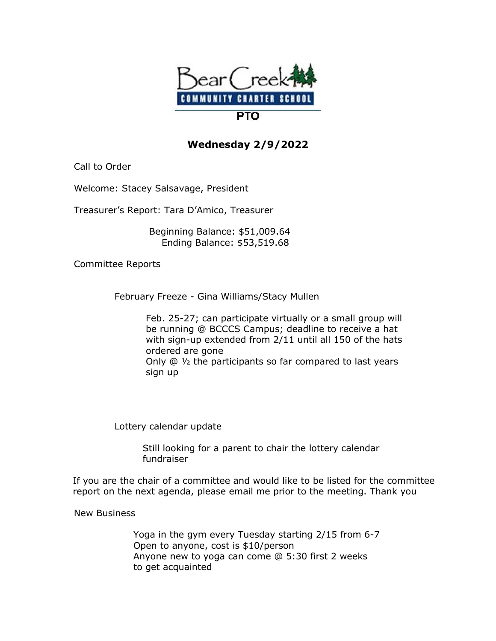

## **Wednesday 2/9/2022**

Call to Order

Welcome: Stacey Salsavage, President

Treasurer's Report: Tara D'Amico, Treasurer

 Beginning Balance: \$51,009.64 Ending Balance: \$53,519.68

Committee Reports

February Freeze - Gina Williams/Stacy Mullen

 Feb. 25-27; can participate virtually or a small group will be running @ BCCCS Campus; deadline to receive a hat with sign-up extended from 2/11 until all 150 of the hats ordered are gone Only @ ½ the participants so far compared to last years sign up

Lottery calendar update

 Still looking for a parent to chair the lottery calendar fundraiser

If you are the chair of a committee and would like to be listed for the committee report on the next agenda, please email me prior to the meeting. Thank you

New Business

 Yoga in the gym every Tuesday starting 2/15 from 6-7 Open to anyone, cost is \$10/person Anyone new to yoga can come @ 5:30 first 2 weeks to get acquainted